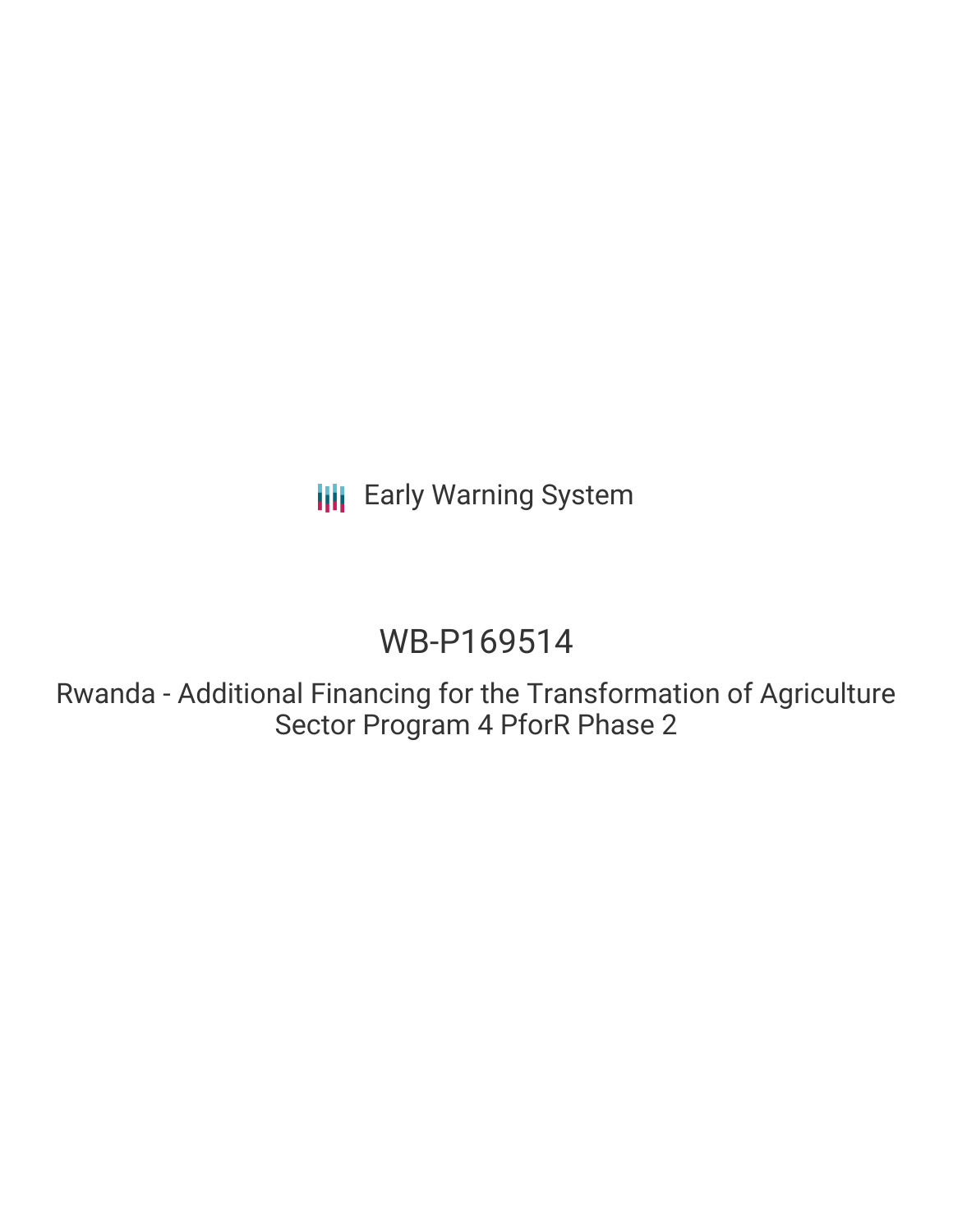**III** Early Warning System

# WB-P169514

Rwanda - Additional Financing for the Transformation of Agriculture Sector Program 4 PforR Phase 2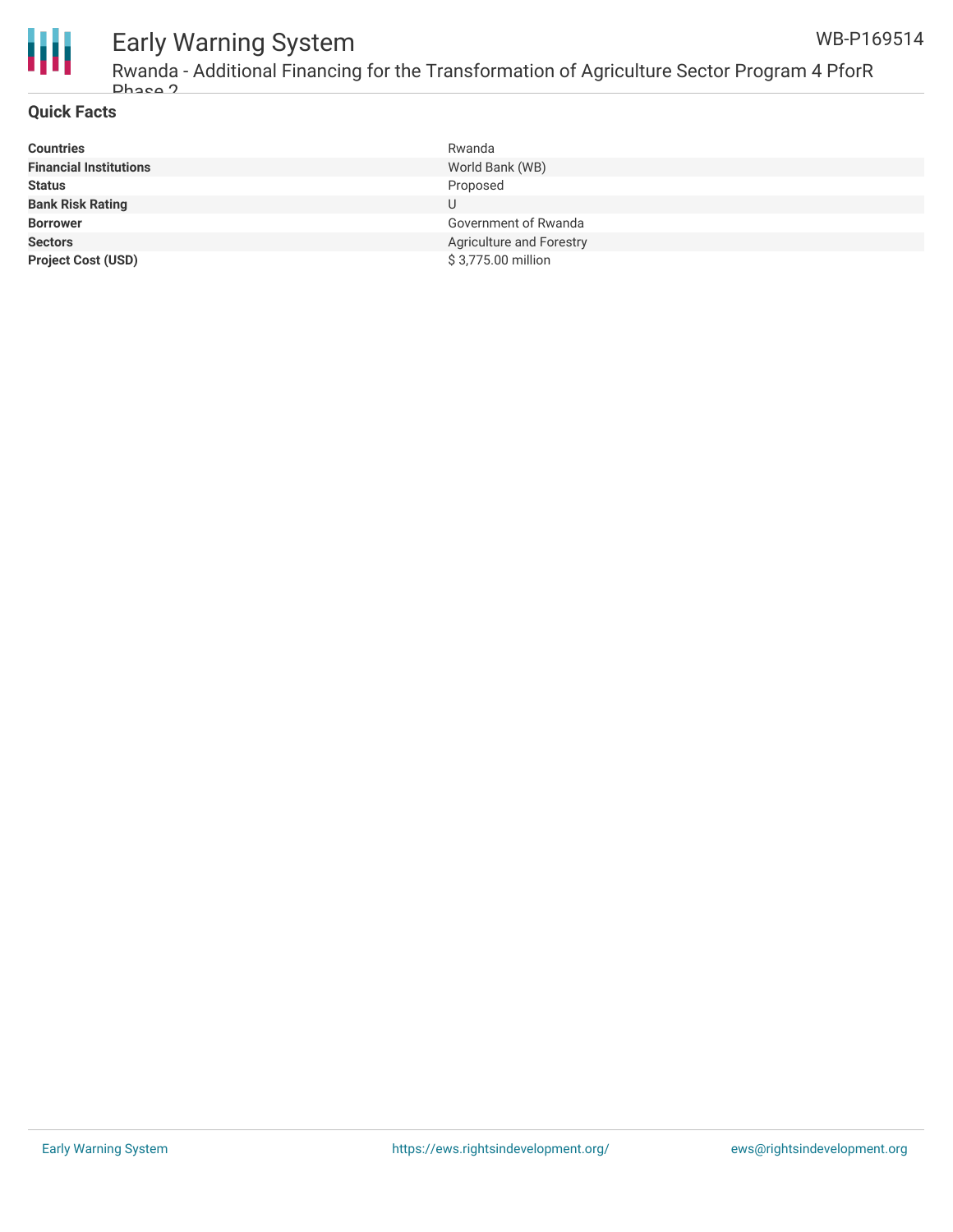

## Early Warning System

Rwanda - Additional Financing for the Transformation of Agriculture Sector Program 4 PforR Phase 2

### **Quick Facts**

| <b>Countries</b>              | Rwanda                   |
|-------------------------------|--------------------------|
| <b>Financial Institutions</b> | World Bank (WB)          |
| <b>Status</b>                 | Proposed                 |
| <b>Bank Risk Rating</b>       |                          |
| <b>Borrower</b>               | Government of Rwanda     |
| <b>Sectors</b>                | Agriculture and Forestry |
| <b>Project Cost (USD)</b>     | \$3,775.00 million       |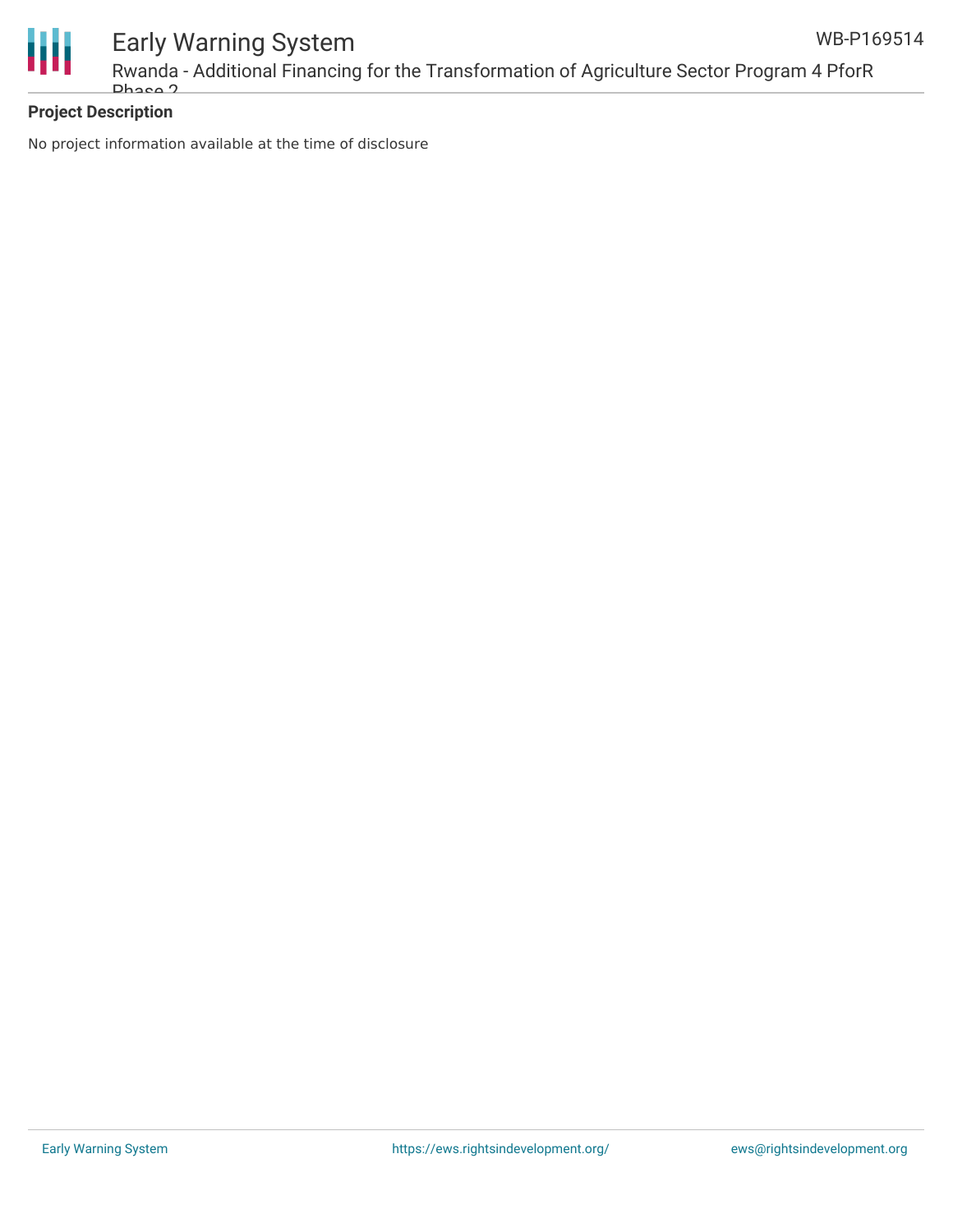

### **Project Description**

No project information available at the time of disclosure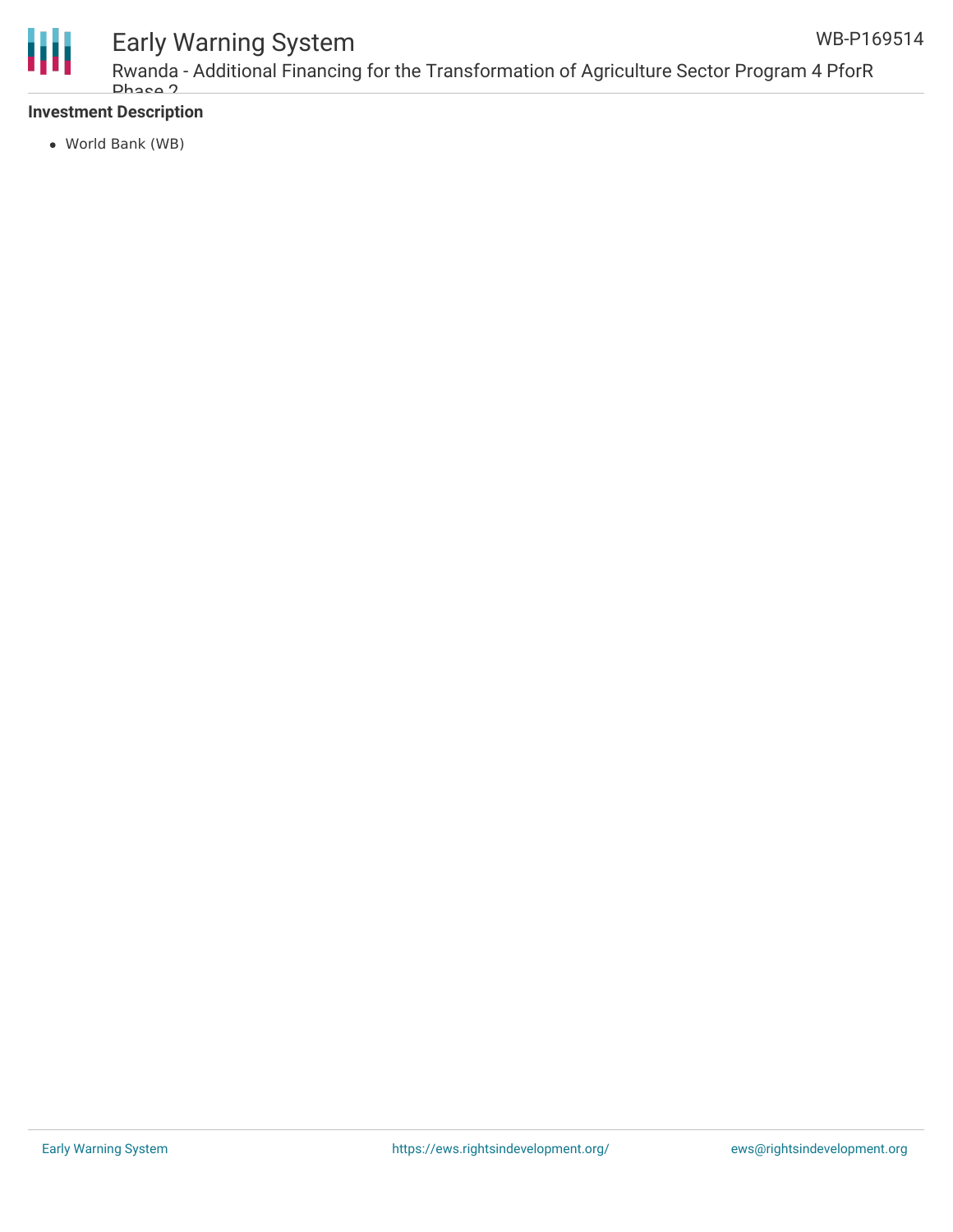

# Early Warning System

Rwanda - Additional Financing for the Transformation of Agriculture Sector Program 4 PforR Phase 2

### **Investment Description**

World Bank (WB)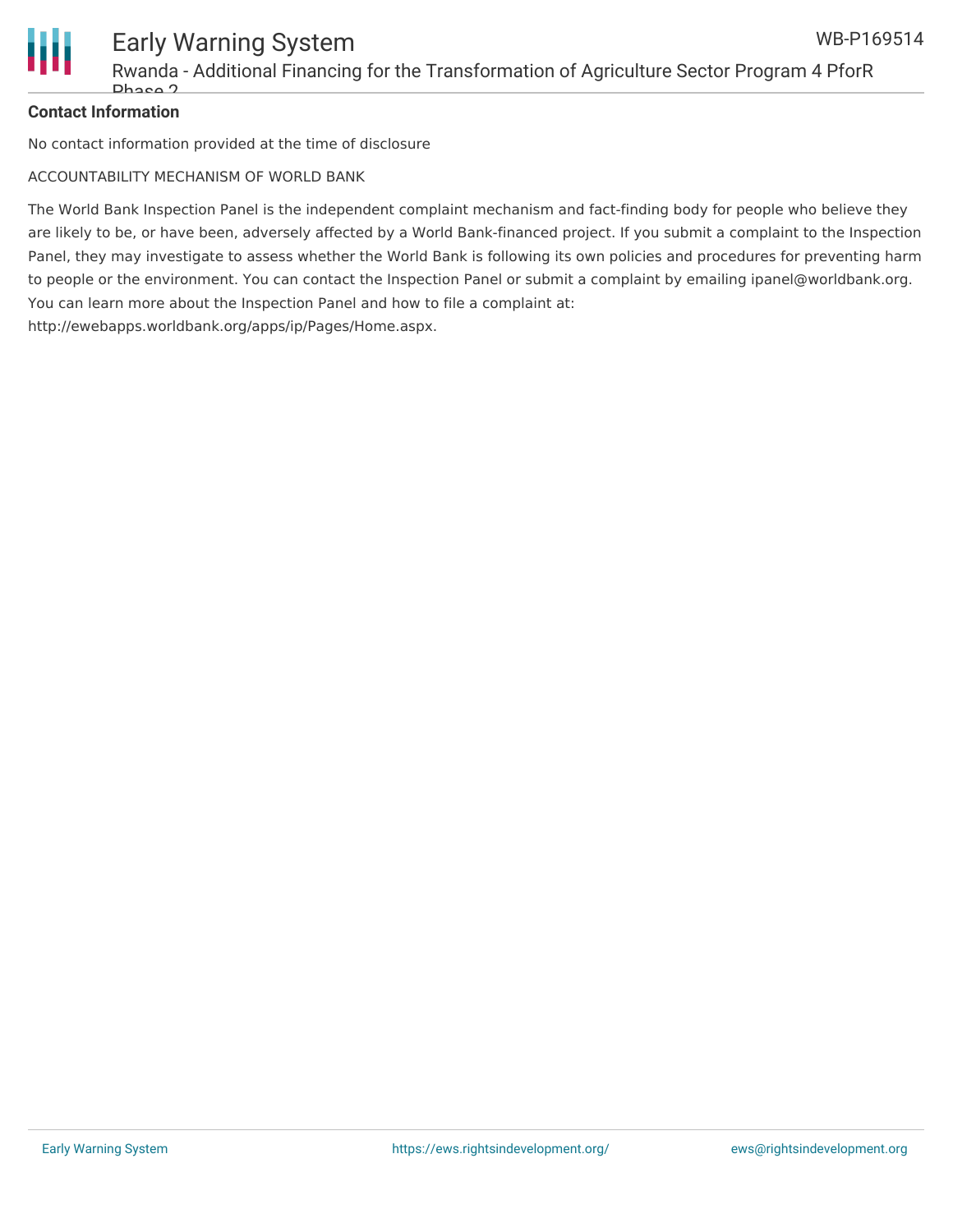

### **Contact Information**

No contact information provided at the time of disclosure

ACCOUNTABILITY MECHANISM OF WORLD BANK

The World Bank Inspection Panel is the independent complaint mechanism and fact-finding body for people who believe they are likely to be, or have been, adversely affected by a World Bank-financed project. If you submit a complaint to the Inspection Panel, they may investigate to assess whether the World Bank is following its own policies and procedures for preventing harm to people or the environment. You can contact the Inspection Panel or submit a complaint by emailing ipanel@worldbank.org. You can learn more about the Inspection Panel and how to file a complaint at: http://ewebapps.worldbank.org/apps/ip/Pages/Home.aspx.